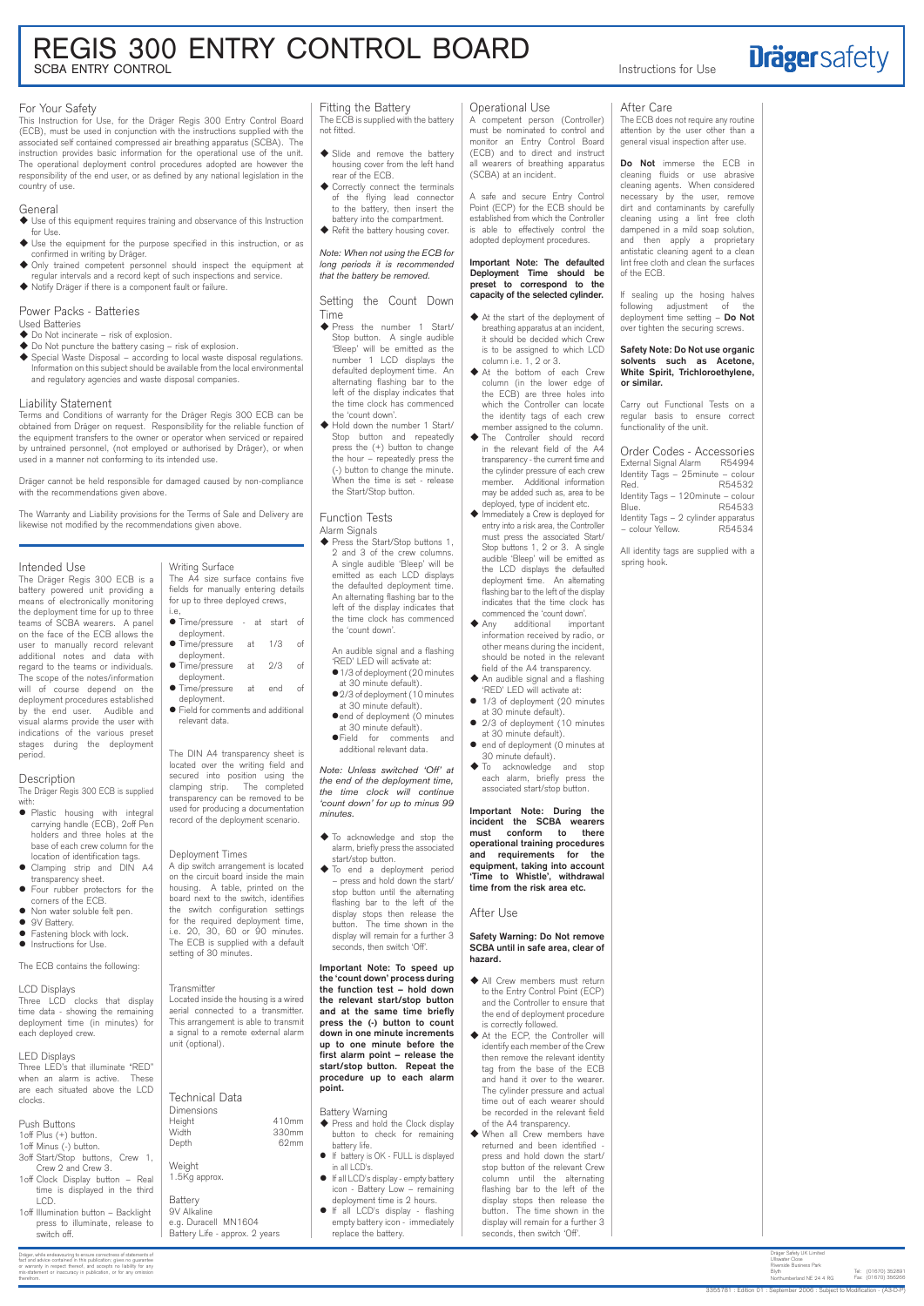# For Your Safety

This Instruction for Use, for the Dräger Regis 300 Entry Control Board (ECB), must be used in conjunction with the instructions supplied with the associated self contained compressed air breathing apparatus (SCBA). The instruction provides basic information for the operational use of the unit. The operational deployment control procedures adopted are however the responsibility of the end user, or as defined by any national legislation in the country of use.

# General

- ◆ Do Not incinerate risk of explosion.
- ◆ Do Not puncture the battery casing risk of explosion.
- $\blacklozenge$  Special Waste Disposal according to local waste disposal regulations. Information on this subject should be available from the local environmental and regulatory agencies and waste disposal companies.
- Use of this equipment requires training and observance of this Instruction for Use.
- Use the equipment for the purpose specified in this instruction, or as confirmed in writing by Dräger.
- Only trained competent personnel should inspect the equipment at regular intervals and a record kept of such inspections and service.
- Notify Dräger if there is a component fault or failure.

#### Power Packs - Batteries Used Batteries

- Plastic housing with integral carrying handle (ECB), 2off Pen holders and three holes at the base of each crew column for the location of identification tags.
- Clamping strip and DIN A4 transparency sheet.
- Four rubber protectors for the corners of the ECB.
- Non water soluble felt pen. • 9V Battery.
- 
- **•** Fastening block with lock.  $\bullet$  Instructions for Use.

# Liability Statement

Terms and Conditions of warranty for the Dräger Regis 300 ECB can be obtained from Dräger on request. Responsibility for the reliable function of the equipment transfers to the owner or operator when serviced or repaired by untrained personnel, (not employed or authorised by Dräger), or when used in a manner not conforming to its intended use.

Dräger cannot be held responsible for damaged caused by non-compliance with the recommendations given above.

The Warranty and Liability provisions for the Terms of Sale and Delivery are likewise not modified by the recommendations given above.

# Intended Use

The Dräger Regis 300 ECB is a battery powered unit providing a means of electronically monitoring the deployment time for up to three teams of SCBA wearers. A panel on the face of the ECB allows the user to manually record relevant additional notes and data with regard to the teams or individuals. The scope of the notes/information will of course depend on the deployment procedures established by the end user. Audible and visual alarms provide the user with indications of the various preset stages during the deployment period.

# **Description**

The ECB is supplied with the battery not fitted.

- ◆ Slide and remove the battery housing cover from the left hand rear of the ECB.
- Correctly connect the terminals of the flying lead connector to the battery, then insert the battery into the compartment.
- Refit the battery housing cover.

The Dräger Regis 300 ECB is supplied with:

The ECB contains the following:

◆ Press the Start/Stop buttons 1, 2 and 3 of the crew columns. A single audible 'Bleep' will be emitted as each LCD displays the defaulted deployment time. An alternating flashing bar to the left of the display indicates that the time clock has commenced the 'count down'.

- $\bullet$  1/3 of deployment (20 minutes at 30 minute default).
- 2/3 of deployment (10 minutes at 30 minute default).
- $\bullet$  end of deployment (0 minutes
- at 30 minute default). Field for comments and additional relevant data.

# Writing Surface

The A4 size surface contains five fields for manually entering details for up to three deployed crews, i.e,

- Time/pressure at start of deployment.
- Time/pressure at 1/3 of deployment.
- Time/pressure at 2/3 of deployment.
- Time/pressure at end of deployment.
- Field for comments and additional relevant data.

- ◆ Press and hold the Clock display button to check for remaining battery life.
- If battery is OK FULL is displayed in all LCD's.
- If all LCD's display empty battery icon - Battery Low – remaining deployment time is 2 hours.
- If all LCD's display flashing empty battery icon - immediately replace the battery.

| time data - showing the remaining<br>deployment time (in minutes) for<br>each deployed crew.<br>unit (optional).                                         | Located inside the housing is a<br>aerial connected to a trans<br>This arrangement is able to tra<br>a signal to a remote external |
|----------------------------------------------------------------------------------------------------------------------------------------------------------|------------------------------------------------------------------------------------------------------------------------------------|
| <b>LED Displays</b><br>Three LED's that illuminate "RED"<br>when an alarm is active. These<br>are each situated above the LCD<br>clocks.<br>Dimensions   | <b>Technical Data</b>                                                                                                              |
| Height<br>Push Buttons<br>Width<br>1 off Plus $(+)$ button.<br>Depth<br>1 off Minus (-) button.                                                          | $\overline{4}$<br>3.<br>ł                                                                                                          |
| 3off Start/Stop buttons, Crew 1,<br>Weight<br>Crew 2 and Crew 3.<br>1.5Kg approx.<br>1 off Clock Display button - Real<br>time is displayed in the third |                                                                                                                                    |
| Battery<br>LCD.<br>9V Alkaline<br>1 off Illumination button - Backlight<br>press to illuminate, release to<br>switch off.                                | e.g. Duracell MN1604<br>Battery Life - approx. 2 years                                                                             |

#### itter

inside the housing is a wired connected to a transmitter. angement is able to transmit to a remote external alarm tional).

> 410mm 330mm  $62mm$

The DIN A4 transparency sheet is located over the writing field and secured into position using the clamping strip. The completed transparency can be removed to be used for producing a documentation record of the deployment scenario.

# Deployment Times

A dip switch arrangement is located on the circuit board inside the main housing. A table, printed on the board next to the switch, identifies the switch configuration settings for the required deployment time, i.e. 20, 30, 60 or 90 minutes. The ECB is supplied with a default setting of 30 minutes.

# Fitting the Battery

*Note: When not using the ECB for long periods it is recommended that the battery be removed.*

Setting the Count Down Time

- Press the number 1 Start/ Stop button. A single audible 'Bleep' will be emitted as the number 1 LCD displays the defaulted deployment time. An alternating flashing bar to the left of the display indicates that the time clock has commenced the 'count down'.
- Hold down the number 1 Start/ Stop button and repeatedly press the (+) button to change the hour – repeatedly press the (-) button to change the minute. When the time is set - release the Start/Stop button.

# Function Tests Alarm Signals

Do Not immerse the ECB in cleaning fluids or use abrasive cleaning agents. When considered necessary by the user, remove dirt and contaminants by carefully cleaning using a lint free cloth dampened in a mild soap solution, and then apply a proprietary antistatic cleaning agent to a clean lint free cloth and clean the surfaces of the ECB.

An audible signal and a flashing 'RED' LED will activate at:

# regis 300 entry control board **SCBA ENTRY CONTROL Instructions for Use**

Note: Unless switched 'Off' at *the end of the deployment time, the time clock will continue*  'count down' for up to minus 99

*minutes.*

- To acknowledge and stop the alarm, briefly press the associated start/stop button.
- To end a deployment period – press and hold down the start/ stop button until the alternating flashing bar to the left of the display stops then release the button. The time shown in the display will remain for a further 3 seconds, then switch 'Off'.

Important Note: To speed up the 'count down' process during

the function test – hold down the relevant start/stop button and at the same time briefly press the (-) button to count down in one minute increments up to one minute before the first alarm point – release the start/stop button. Repeat the procedure up to each alarm point.

Battery Warning

#### Operational Use

A competent person (Controller) must be nominated to control and monitor an Entry Control Board (ECB) and to direct and instruct all wearers of breathing apparatus (SCBA) at an incident.

A safe and secure Entry Control Point (ECP) for the ECB should be established from which the Controller is able to effectively control the adopted deployment procedures.

# Important Note: The defaulted Deployment Time should be preset to correspond to the capacity of the selected cylinder.

- At the start of the deployment of breathing apparatus at an incident, it should be decided which Crew is to be assigned to which LCD column i.e. 1, 2 or 3.
- At the bottom of each Crew column (in the lower edge of the ECB) are three holes into which the Controller can locate the identity tags of each crew member assigned to the column.
- $\blacklozenge$  The Controller should record in the relevant field of the A4 transparency - the current time and the cylinder pressure of each crew member. Additional information may be added such as, area to be deployed, type of incident etc.
- Immediately a Crew is deployed for entry into a risk area, the Controller must press the associated Start/ Stop buttons 1, 2 or 3. A single audible 'Bleep' will be emitted as the LCD displays the defaulted deployment time. An alternating flashing bar to the left of the display indicates that the time clock has commenced the 'count down'. ◆ Anv additional impor
- additional important information received by radio, or other means during the incident, should be noted in the relevant field of the A4 transparency.
- An audible signal and a flashing 'RED' LED will activate at:
- 1/3 of deployment (20 minutes at 30 minute default).
- 2/3 of deployment (10 minutes at 30 minute default).
- end of deployment (0 minutes at 30 minute default).
- $\blacklozenge$  To acknowledge and stop each alarm, briefly press the associated start/stop button.

Important Note: During the incident the SCBA wearers must conform to there operational training procedures and requirements for the equipment, taking into account 'Time to Whistle', withdrawal time from the risk area etc.

After Use

Safety Warning: Do Not remove SCBA until in safe area, clear of hazard.

All Crew members must return

- to the Entry Control Point (ECP) and the Controller to ensure that the end of deployment procedure is correctly followed.
- At the ECP, the Controller will identify each member of the Crew then remove the relevant identity tag from the base of the ECB and hand it over to the wearer. The cylinder pressure and actual time out of each wearer should be recorded in the relevant field of the A4 transparency.
- When all Crew members have returned and been identified press and hold down the start/ stop button of the relevant Crew column until the alternating flashing bar to the left of the display stops then release the button. The time shown in the display will remain for a further 3 seconds, then switch 'Off'.

Dräger Safety UK Limited Ullswater Close Riverside Business Park Blyth Northumberland NE 24 4 RG Tel: (01670) 352891 Fax: (01670) 356266

Drăger, while endeavouring to ensure correctness of statements of<br>fact and advice contained in this publication; gives no guarante for<br>or warranty in respect thereof, and accepts no liability for any<br>mis-statement or inacc

### After Care

The ECB does not require any routine attention by the user other than a general visual inspection after use.

If sealing up the hosing halves following adjustment of the deployment time setting – Do Not over tighten the securing screws.

#### Safety Note: Do Not use organic solvents such as Acetone, White Spirit, Trichloroethylene, or similar.

Carry out Functional Tests on a regular basis to ensure correct functionality of the unit.

Order Codes - Accessories External Signal Alarm R54994 Identity Tags – 25minute – colour Red. R54532 Identity Tags – 120minute – colour Blue. R54533 Identity Tags - 2 cylinder apparatus – colour Yellow. R54534

All identity tags are supplied with a spring hook.